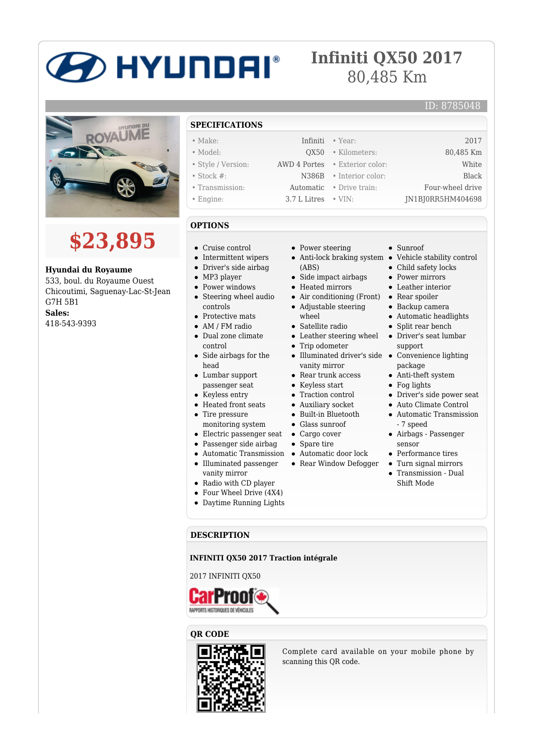# **DHYUNDAI**®

## **Infiniti QX50 2017** 80,485 Km



# **\$23,895**

**Hyundai du Royaume**

533, boul. du Royaume Ouest Chicoutimi, Saguenay-Lac-St-Jean G7H 5B1 **Sales:** 418-543-9393

#### **SPECIFICATIONS**

- Make: Infiniti Year: 2017
- Model: QX50 Kilometers: 80,485 Km
- Style / Version: AWD 4 Portes Exterior color: White
- Stock #: N386B Interior color: Black
- Transmission: Automatic Drive train: Four-wheel drive
- Engine: 3.7 L Litres VIN: JN1BJ0RR5HM404698

#### **OPTIONS**

- Cruise control
- $\bullet~$  Intermittent wipers
- Driver's side airbag
- MP3 player
- Power windows
- Steering wheel audio controls
- Protective mats
- AM / FM radio
- Dual zone climate control
- Side airbags for the head
- Lumbar support passenger seat
- Keyless entry
- Heated front seats • Tire pressure
- monitoring system
- Electric passenger seat
- Passenger side airbag
- Automatic Transmission Automatic door lock
- Illuminated passenger vanity mirror
- Radio with CD player
- Four Wheel Drive (4X4)
- Daytime Running Lights

#### **DESCRIPTION**

**INFINITI QX50 2017 Traction intégrale**

2017 INFINITI QX50



#### **QR CODE**



Complete card available on your mobile phone by scanning this QR code.

- Power steering
- Anti-lock braking system Vehicle stability control (ABS)
- Side impact airbags
- Heated mirrors
- Air conditioning (Front)
- Adjustable steering wheel
- Satellite radio
- Leather steering wheel
- Trip odometer
- Illuminated driver's side Convenience lighting vanity mirror
- Rear trunk access
- 
- 
- Built-in Bluetooth
- Glass sunroof
- Cargo cover
- Spare tire
- 
- Rear Window Defogger
- - - Transmission Dual Shift Mode
- Sunroof
- 

ID: 8785048

- Child safety locks
- Power mirrors
- Leather interior
- Rear spoiler
- Backup camera Automatic headlights
- Split rear bench
- Driver's seat lumbar support
- package
- Anti-theft system
- Fog lights
- Driver's side power seat
- Auto Climate Control
- Automatic Transmission - 7 speed
- Airbags Passenger sensor
- $\bullet~$  Performance tires
- Turn signal mirrors
- 
- Keyless start • Traction control Auxiliary socket
	-
	-